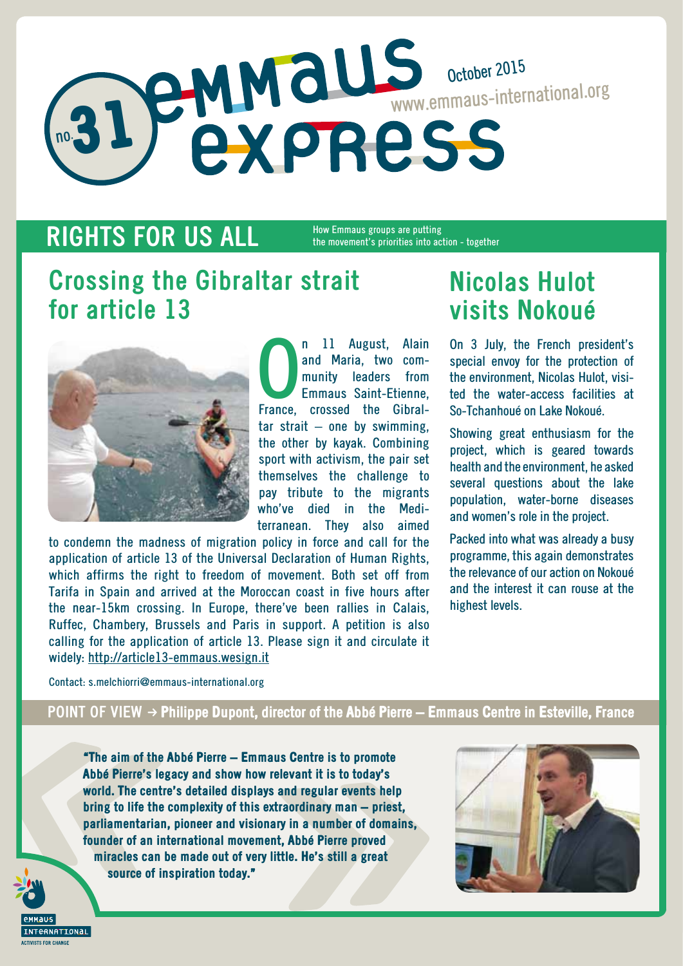# no. 31 October 2015 www.emmaus-international.org

### **RIGHTS FOR US ALL**

How Emmaus groups are putting the movement's priorities into action - together

## **Crossing the Gibraltar strait for article 13**



**Calcular Contracts** II August, Alain<br>
and Maria, two com-<br>
munity leaders from<br>
Emmaus Saint-Etienne,<br>
France, crossed the Gibral-11 August, Alain and Maria, two community leaders from Emmaus Saint-Etienne,  $tar$  strait  $-$  one by swimming, the other by kayak. Combining sport with activism, the pair set themselves the challenge to pay tribute to the migrants who've died in the Mediterranean. They also aimed

to condemn the madness of migration policy in force and call for the application of article 13 of the Universal Declaration of Human Rights, which affirms the right to freedom of movement. Both set off from Tarifa in Spain and arrived at the Moroccan coast in five hours after the near-15km crossing. In Europe, there've been rallies in Calais, Ruffec, Chambery, Brussels and Paris in support. A petition is also calling for the application of article 13. Please sign it and circulate it widely: http://article13-emmaus.wesign.it

## **Nicolas Hulot visits Nokoué**

On 3 July, the French president's special envoy for the protection of the environment, Nicolas Hulot, visited the water-access facilities at So-Tchanhoué on Lake Nokoué.

Showing great enthusiasm for the project, which is geared towards health and the environment, he asked several questions about the lake population, water-borne diseases and women's role in the project.

Packed into what was already a busy programme, this again demonstrates the relevance of our action on Nokoué and the interest it can rouse at the highest levels.

Contact: s.melchiorri@emmaus-international.org

#### POINT OF VIEW → Philippe Dupont, director of the Abbé Pierre – Emmaus Centre in Esteville, France

"The aim of the Abbé Pierre – Emmaus Centre is to promote Abbé Pierre's legacy and show how relevant it is to today's world. The centre's detailed displays and regular events help bring to life the complexity of this extraordinary man – priest, parliamentarian, pioneer and visionary in a number of domains, founder of an international movement, Abbé Pierre proved miracles can be made out of very little. He's still a great source of inspiration today."



NATTONAL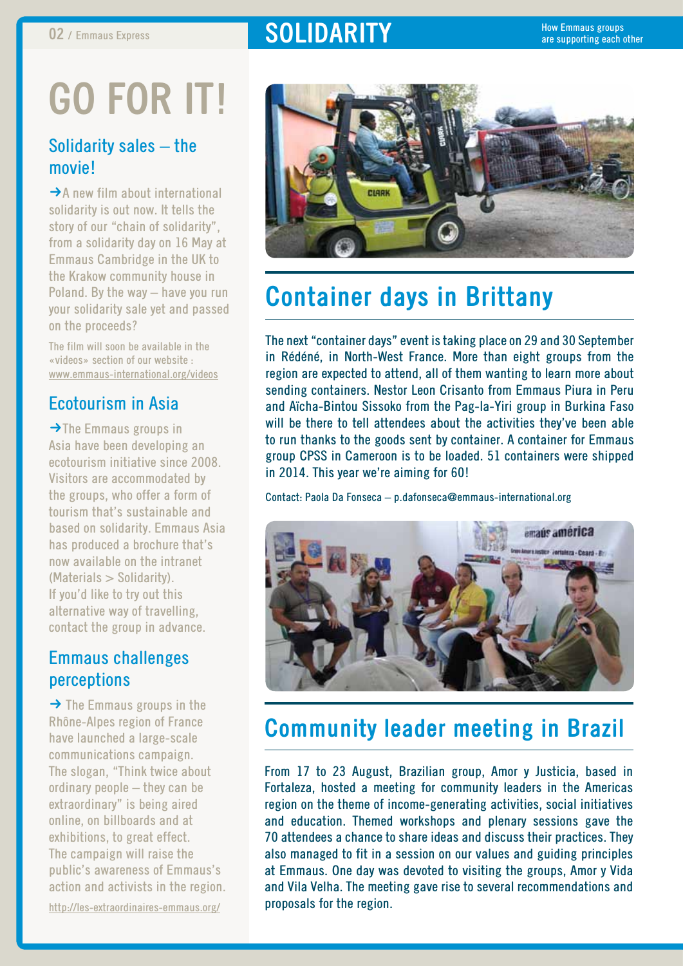### **02** / Emmaus Express **by Report of the SOLIDARITY**

# **Go for it!**

#### Solidarity sales – the movie!

 $\rightarrow$  A new film about international solidarity is out now. It tells the story of our "chain of solidarity", from a solidarity day on 16 May at Emmaus Cambridge in the UK to the Krakow community house in Poland. By the way – have you run your solidarity sale yet and passed on the proceeds?

The film will soon be available in the «videos» section of our website : www.emmaus-international.org/videos

### Ecotourism in Asia

 $\rightarrow$ The Emmaus groups in Asia have been developing an ecotourism initiative since 2008. Visitors are accommodated by the groups, who offer a form of tourism that's sustainable and based on solidarity. Emmaus Asia has produced a brochure that's now available on the intranet (Materials > Solidarity). If you'd like to try out this alternative way of travelling, contact the group in advance.

### Emmaus challenges perceptions

 $\rightarrow$  The Emmaus groups in the Rhône-Alpes region of France have launched a large-scale communications campaign. The slogan, "Think twice about ordinary people – they can be extraordinary" is being aired online, on billboards and at exhibitions, to great effect. The campaign will raise the public's awareness of Emmaus's action and activists in the region. http://les-extraordinaires-emmaus.org/



## **Container days in Brittany**

The next "container days" event is taking place on 29 and 30 September in Rédéné, in North-West France. More than eight groups from the region are expected to attend, all of them wanting to learn more about sending containers. Nestor Leon Crisanto from Emmaus Piura in Peru and Aïcha-Bintou Sissoko from the Pag-la-Yiri group in Burkina Faso will be there to tell attendees about the activities they've been able to run thanks to the goods sent by container. A container for Emmaus group CPSS in Cameroon is to be loaded. 51 containers were shipped in 2014. This year we're aiming for 60!

Contact: Paola Da Fonseca – p.dafonseca@emmaus-international.org



### **Community leader meeting in Brazil**

From 17 to 23 August, Brazilian group, Amor y Justicia, based in Fortaleza, hosted a meeting for community leaders in the Americas region on the theme of income-generating activities, social initiatives and education. Themed workshops and plenary sessions gave the 70 attendees a chance to share ideas and discuss their practices. They also managed to fit in a session on our values and guiding principles at Emmaus. One day was devoted to visiting the groups, Amor y Vida and Vila Velha. The meeting gave rise to several recommendations and proposals for the region.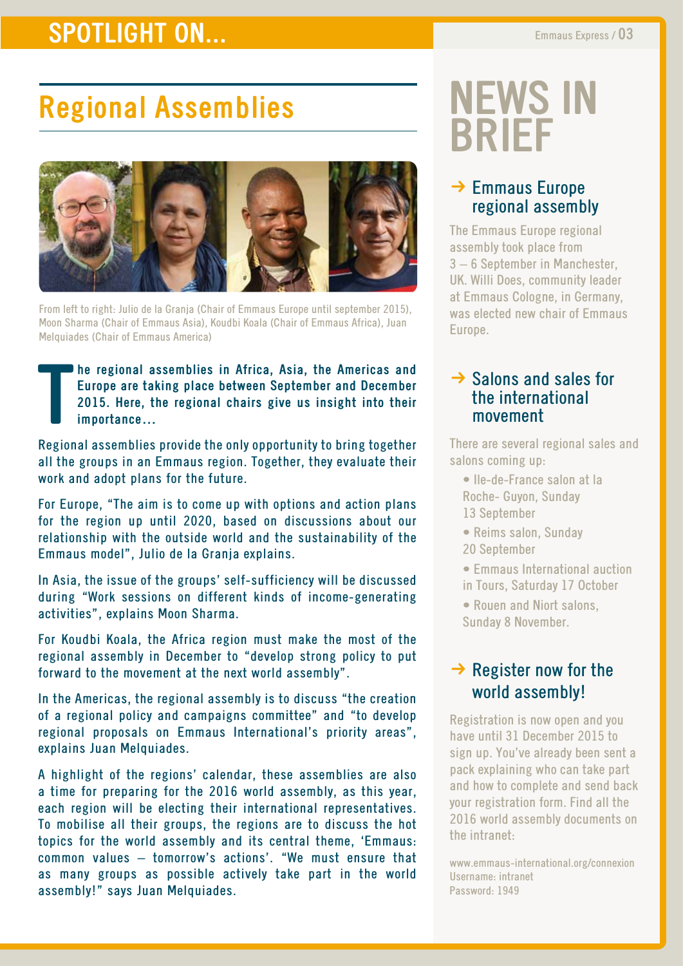### **SPOTLIGHT ON...** Emmaus Express / 03

# **Regional Assemblies**



From left to right: Julio de la Granja (Chair of Emmaus Europe until september 2015), Moon Sharma (Chair of Emmaus Asia), Koudbi Koala (Chair of Emmaus Africa), Juan Melquiades (Chair of Emmaus America)

**T he regional assemblies in Africa, Asia, the Americas and Europe are taking place between September and December 2015. Here, the regional chairs give us insight into their importance…** 

Regional assemblies provide the only opportunity to bring together all the groups in an Emmaus region. Together, they evaluate their work and adopt plans for the future.

For Europe, "The aim is to come up with options and action plans for the region up until 2020, based on discussions about our relationship with the outside world and the sustainability of the Emmaus model", Julio de la Granja explains.

In Asia, the issue of the groups' self-sufficiency will be discussed during "Work sessions on different kinds of income-generating activities", explains Moon Sharma.

For Koudbi Koala, the Africa region must make the most of the regional assembly in December to "develop strong policy to put forward to the movement at the next world assembly".

In the Americas, the regional assembly is to discuss "the creation of a regional policy and campaigns committee" and "to develop regional proposals on Emmaus International's priority areas", explains Juan Melquiades.

A highlight of the regions' calendar, these assemblies are also a time for preparing for the 2016 world assembly, as this year, each region will be electing their international representatives. To mobilise all their groups, the regions are to discuss the hot topics for the world assembly and its central theme, 'Emmaus: common values – tomorrow's actions'. "We must ensure that as many groups as possible actively take part in the world assembly!" says Juan Melquiades.

# **news in brief**

#### $\rightarrow$  Emmaus Europe regional assembly

The Emmaus Europe regional assembly took place from 3 – 6 September in Manchester, UK. Willi Does, community leader at Emmaus Cologne, in Germany, was elected new chair of Emmaus Europe.

#### $\rightarrow$  Salons and sales for the international movement

There are several regional sales and salons coming up:

- Ile-de-France salon at la Roche- Guyon, Sunday 13 September
- Reims salon, Sunday
- 20 September
- Emmaus International auction
- in Tours, Saturday 17 October
- Rouen and Niort salons, Sunday 8 November.

### $\rightarrow$  Register now for the world assembly!

Registration is now open and you have until 31 December 2015 to sign up. You've already been sent a pack explaining who can take part and how to complete and send back your registration form. Find all the 2016 world assembly documents on the intranet:

www.emmaus-international.org/connexion Username: intranet Password: 1949